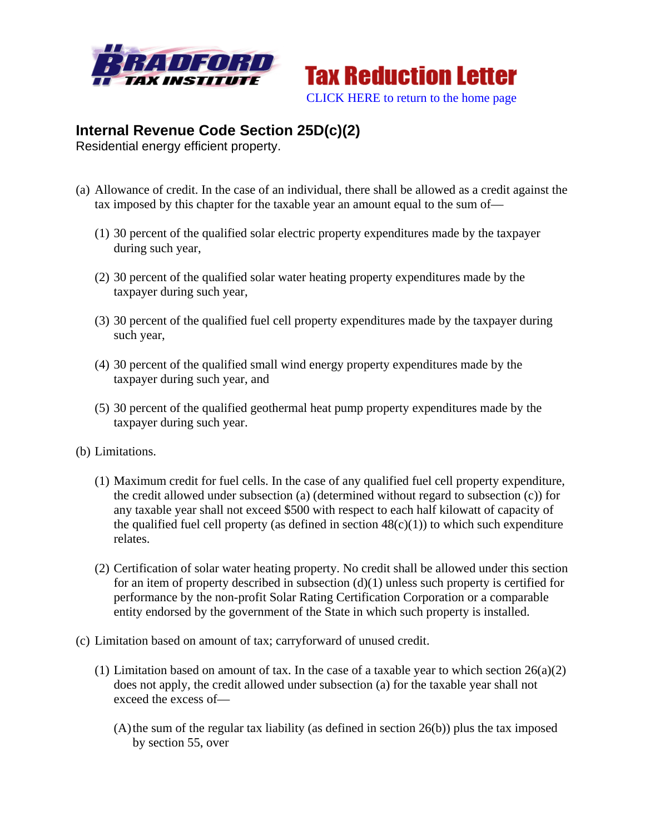



## **Internal Revenue Code Section 25D(c)(2)**

Residential energy efficient property.

- (a) Allowance of credit. In the case of an individual, there shall be allowed as a credit against the tax imposed by this chapter for the taxable year an amount equal to the sum of—
	- (1) 30 percent of the qualified solar electric property expenditures made by the taxpayer during such year,
	- (2) 30 percent of the qualified solar water heating property expenditures made by the taxpayer during such year,
	- (3) 30 percent of the qualified fuel cell property expenditures made by the taxpayer during such year,
	- (4) 30 percent of the qualified small wind energy property expenditures made by the taxpayer during such year, and
	- (5) 30 percent of the qualified geothermal heat pump property expenditures made by the taxpayer during such year.
- (b) Limitations.
	- (1) Maximum credit for fuel cells. In the case of any qualified fuel cell property expenditure, the credit allowed under subsection (a) (determined without regard to subsection (c)) for any taxable year shall not exceed \$500 with respect to each half kilowatt of capacity of the qualified fuel cell property (as defined in section  $48(c)(1)$ ) to which such expenditure relates.
	- (2) Certification of solar water heating property. No credit shall be allowed under this section for an item of property described in subsection  $(d)(1)$  unless such property is certified for performance by the non-profit Solar Rating Certification Corporation or a comparable entity endorsed by the government of the State in which such property is installed.
- (c) Limitation based on amount of tax; carryforward of unused credit.
	- (1) Limitation based on amount of tax. In the case of a taxable year to which section  $26(a)(2)$ does not apply, the credit allowed under subsection (a) for the taxable year shall not exceed the excess of—
		- $(A)$ the sum of the regular tax liability (as defined in section 26(b)) plus the tax imposed by section 55, over